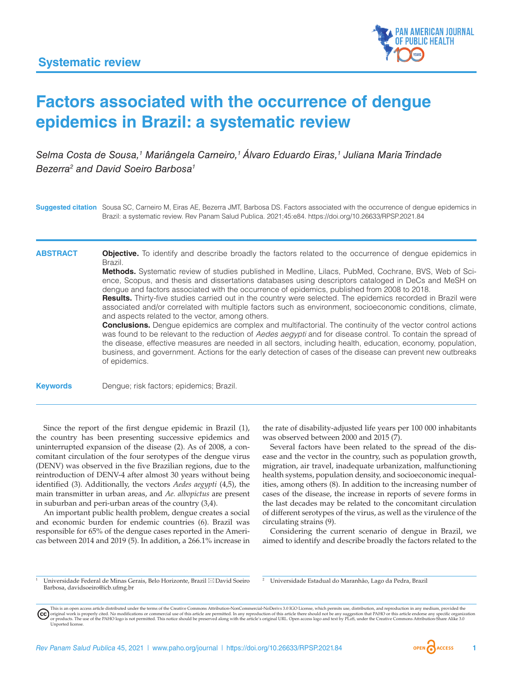

# **Factors associated with the occurrence of dengue epidemics in Brazil: a systematic review**

Selma Costa de Sousa,<sup>1</sup> Mariângela Carneiro,<sup>1</sup> Álvaro Eduardo Eiras,<sup>1</sup> Juliana Maria Trindade *Bezerra2 and David Soeiro Barbosa1*

**Suggested citation** Sousa SC, Carneiro M, Eiras AE, Bezerra JMT, Barbosa DS. Factors associated with the occurrence of dengue epidemics in Brazil: a systematic review. Rev Panam Salud Publica. 2021;45:e84. <https://doi.org/10.26633/RPSP.2021.84>

**ABSTRACT Objective.** To identify and describe broadly the factors related to the occurrence of dengue epidemics in Brazil.

> **Methods.** Systematic review of studies published in Medline, Lilacs, PubMed, Cochrane, BVS, Web of Science, Scopus, and thesis and dissertations databases using descriptors cataloged in DeCs and MeSH on dengue and factors associated with the occurrence of epidemics, published from 2008 to 2018.

> **Results.** Thirty-five studies carried out in the country were selected. The epidemics recorded in Brazil were associated and/or correlated with multiple factors such as environment, socioeconomic conditions, climate, and aspects related to the vector, among others.

> **Conclusions.** Dengue epidemics are complex and multifactorial. The continuity of the vector control actions was found to be relevant to the reduction of *Aedes aegypti* and for disease control. To contain the spread of the disease, effective measures are needed in all sectors, including health, education, economy, population, business, and government. Actions for the early detection of cases of the disease can prevent new outbreaks of epidemics.

**Keywords** Dengue; risk factors; epidemics; Brazil.

Since the report of the first dengue epidemic in Brazil (1), the country has been presenting successive epidemics and uninterrupted expansion of the disease (2). As of 2008, a concomitant circulation of the four serotypes of the dengue virus (DENV) was observed in the five Brazilian regions, due to the reintroduction of DENV-4 after almost 30 years without being identified (3). Additionally, the vectors *Aedes aegypti* (4,5), the main transmitter in urban areas, and *Ae. albopictus* are present in suburban and peri-urban areas of the country (3,4).

An important public health problem, dengue creates a social and economic burden for endemic countries (6). Brazil was responsible for 65% of the dengue cases reported in the Americas between 2014 and 2019 (5). In addition, a 266.1% increase in the rate of disability-adjusted life years per 100 000 inhabitants was observed between 2000 and 2015 (7).

Several factors have been related to the spread of the disease and the vector in the country, such as population growth, migration, air travel, inadequate urbanization, malfunctioning health systems, population density, and socioeconomic inequalities, among others (8). In addition to the increasing number of cases of the disease, the increase in reports of severe forms in the last decades may be related to the concomitant circulation of different serotypes of the virus, as well as the virulence of the circulating strains (9).

Considering the current scenario of dengue in Brazil, we aimed to identify and describe broadly the factors related to the

<sup>1</sup> Universidade Federal de Minas Gerais, Belo Horizonte, Brazil \* David Soeiro Barbosa, [davidsoeiro@icb.ufmg.br](mailto:davidsoeiro@icb.ufmg.br)

<sup>2</sup> Universidade Estadual do Maranhão, Lago da Pedra, Brazil

This is an open access article distributed under the terms of the [Creative Commons Attribution-NonCommercial-NoDerivs 3.0 IGO](https://creativecommons.org/licenses/by-nc-nd/3.0/igo/legalcode) License, which permits use, distribution, and reproduction in any medium, provided the (cc) original work is properly cited. No modifications or commercial use of this article are permitted. In any reproduction of this article there should not be any suggestion that PAHO or this article endorse any specific organ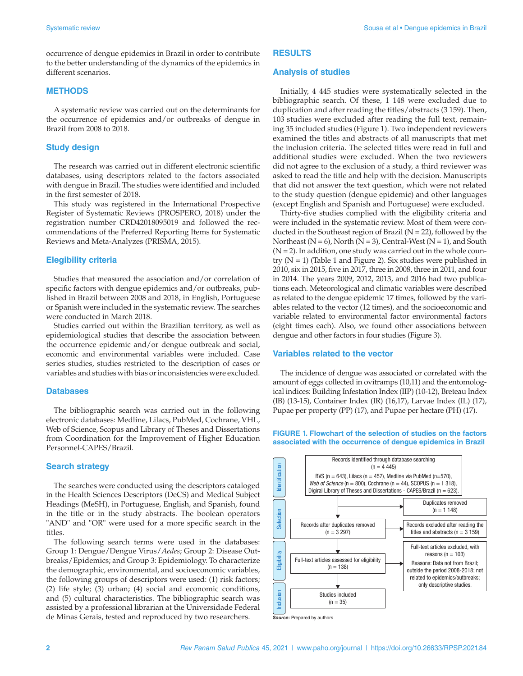occurrence of dengue epidemics in Brazil in order to contribute to the better understanding of the dynamics of the epidemics in different scenarios.

### **METHODS**

A systematic review was carried out on the determinants for the occurrence of epidemics and/or outbreaks of dengue in Brazil from 2008 to 2018.

## **Study design**

The research was carried out in different electronic scientific databases, using descriptors related to the factors associated with dengue in Brazil. The studies were identified and included in the first semester of 2018.

This study was registered in the International Prospective Register of Systematic Reviews (PROSPERO, 2018) under the registration number CRD42018095019 and followed the recommendations of the Preferred Reporting Items for Systematic Reviews and Meta-Analyzes (PRISMA, 2015).

## **Elegibility criteria**

Studies that measured the association and/or correlation of specific factors with dengue epidemics and/or outbreaks, published in Brazil between 2008 and 2018, in English, Portuguese or Spanish were included in the systematic review. The searches were conducted in March 2018.

Studies carried out within the Brazilian territory, as well as epidemiological studies that describe the association between the occurrence epidemic and/or dengue outbreak and social, economic and environmental variables were included. Case series studies, studies restricted to the description of cases or variables and studies with bias or inconsistencies were excluded.

#### **Databases**

The bibliographic search was carried out in the following electronic databases: Medline, Lilacs, PubMed, Cochrane, VHL, Web of Science, Scopus and Library of Theses and Dissertations from Coordination for the Improvement of Higher Education Personnel-CAPES/Brazil.

# **Search strategy**

The searches were conducted using the descriptors cataloged in the Health Sciences Descriptors (DeCS) and Medical Subject Headings (MeSH), in Portuguese, English, and Spanish, found in the title or in the study abstracts. The boolean operators "AND" and "OR" were used for a more specific search in the titles.

The following search terms were used in the databases: Group 1: Dengue/Dengue Virus/*Aedes*; Group 2: Disease Outbreaks/Epidemics; and Group 3: Epidemiology. To characterize the demographic, environmental, and socioeconomic variables, the following groups of descriptors were used: (1) risk factors; (2) life style; (3) urban; (4) social and economic conditions, and (5) cultural characteristics. The bibliographic search was assisted by a professional librarian at the Universidade Federal de Minas Gerais, tested and reproduced by two researchers.

# **RESULTS**

#### **Analysis of studies**

Initially, 4 445 studies were systematically selected in the bibliographic search. Of these, 1 148 were excluded due to duplication and after reading the titles/abstracts (3 159). Then, 103 studies were excluded after reading the full text, remaining 35 included studies (Figure 1). Two independent reviewers examined the titles and abstracts of all manuscripts that met the inclusion criteria. The selected titles were read in full and additional studies were excluded. When the two reviewers did not agree to the exclusion of a study, a third reviewer was asked to read the title and help with the decision. Manuscripts that did not answer the text question, which were not related to the study question (dengue epidemic) and other languages (except English and Spanish and Portuguese) were excluded.

Thirty-five studies complied with the eligibility criteria and were included in the systematic review. Most of them were conducted in the Southeast region of Brazil ( $N = 22$ ), followed by the Northeast ( $N = 6$ ), North ( $N = 3$ ), Central-West ( $N = 1$ ), and South  $(N = 2)$ . In addition, one study was carried out in the whole country  $(N = 1)$  (Table 1 and Figure 2). Six studies were published in 2010, six in 2015, five in 2017, three in 2008, three in 2011, and four in 2014. The years 2009, 2012, 2013, and 2016 had two publications each. Meteorological and climatic variables were described as related to the dengue epidemic 17 times, followed by the variables related to the vector (12 times), and the socioeconomic and variable related to environmental factor environmental factors (eight times each). Also, we found other associations between dengue and other factors in four studies (Figure 3).

#### **Variables related to the vector**

The incidence of dengue was associated or correlated with the amount of eggs collected in ovitramps (10,11) and the entomological indices: Building Infestation Index (IIP) (10-12), Breteau Index (IB) (13-15), Container Index (IR) (16,17), Larvae Index (IL) (17), Pupae per property (PP) (17), and Pupae per hectare (PH) (17).





*Source***:** Prepared by authors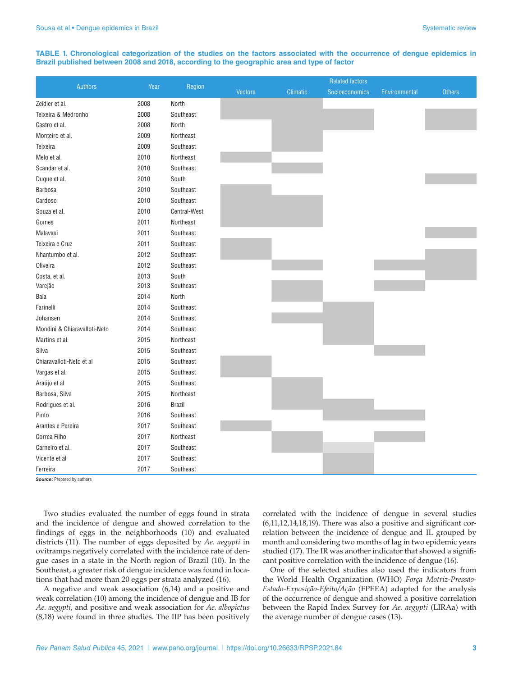#### **TABLE 1. Chronological categorization of the studies on the factors associated with the occurrence of dengue epidemics in Brazil published between 2008 and 2018, according to the geographic area and type of factor**

| <b>Authors</b>               | Year | Region        | <b>Related factors</b> |                 |                |               |               |
|------------------------------|------|---------------|------------------------|-----------------|----------------|---------------|---------------|
|                              |      |               | <b>Vectors</b>         | <b>Climatic</b> | Socioeconomics | Environmental | <b>Others</b> |
| Zeidler et al.               | 2008 | North         |                        |                 |                |               |               |
| Teixeira & Medronho          | 2008 | Southeast     |                        |                 |                |               |               |
| Castro et al.                | 2008 | North         |                        |                 |                |               |               |
| Monteiro et al.              | 2009 | Northeast     |                        |                 |                |               |               |
| Teixeira                     | 2009 | Southeast     |                        |                 |                |               |               |
| Melo et al.                  | 2010 | Northeast     |                        |                 |                |               |               |
| Scandar et al.               | 2010 | Southeast     |                        |                 |                |               |               |
| Duque et al.                 | 2010 | South         |                        |                 |                |               |               |
| <b>Barbosa</b>               | 2010 | Southeast     |                        |                 |                |               |               |
| Cardoso                      | 2010 | Southeast     |                        |                 |                |               |               |
| Souza et al.                 | 2010 | Central-West  |                        |                 |                |               |               |
| Gomes                        | 2011 | Northeast     |                        |                 |                |               |               |
| Malavasi                     | 2011 | Southeast     |                        |                 |                |               |               |
| Teixeira e Cruz              | 2011 | Southeast     |                        |                 |                |               |               |
| Nhantumbo et al.             | 2012 | Southeast     |                        |                 |                |               |               |
| Oliveira                     | 2012 | Southeast     |                        |                 |                |               |               |
| Costa, et al.                | 2013 | South         |                        |                 |                |               |               |
| Varejão                      | 2013 | Southeast     |                        |                 |                |               |               |
| Baía                         | 2014 | North         |                        |                 |                |               |               |
| Farinelli                    | 2014 | Southeast     |                        |                 |                |               |               |
| Johansen                     | 2014 | Southeast     |                        |                 |                |               |               |
| Mondini & Chiaravalloti-Neto | 2014 | Southeast     |                        |                 |                |               |               |
| Martins et al.               | 2015 | Northeast     |                        |                 |                |               |               |
| Silva                        | 2015 | Southeast     |                        |                 |                |               |               |
| Chiaravalloti-Neto et al     | 2015 | Southeast     |                        |                 |                |               |               |
| Vargas et al.                | 2015 | Southeast     |                        |                 |                |               |               |
| Araújo et al                 | 2015 | Southeast     |                        |                 |                |               |               |
| Barbosa, Silva               | 2015 | Northeast     |                        |                 |                |               |               |
| Rodrigues et al.             | 2016 | <b>Brazil</b> |                        |                 |                |               |               |
| Pinto                        | 2016 | Southeast     |                        |                 |                |               |               |
| Arantes e Pereira            | 2017 | Southeast     |                        |                 |                |               |               |
| Correa Filho                 | 2017 | Northeast     |                        |                 |                |               |               |
| Carneiro et al.              | 2017 | Southeast     |                        |                 |                |               |               |
| Vicente et al                | 2017 | Southeast     |                        |                 |                |               |               |
| Ferreira                     | 2017 | Southeast     |                        |                 |                |               |               |

**Source:** Prepared by authors

Two studies evaluated the number of eggs found in strata and the incidence of dengue and showed correlation to the findings of eggs in the neighborhoods (10) and evaluated districts (11). The number of eggs deposited by *Ae. aegypti* in ovitramps negatively correlated with the incidence rate of dengue cases in a state in the North region of Brazil (10). In the Southeast, a greater risk of dengue incidence was found in locations that had more than 20 eggs per strata analyzed (16).

A negative and weak association (6,14) and a positive and weak correlation (10) among the incidence of dengue and IB for *Ae. aegypti,* and positive and weak association for *Ae. albopictus* (8,18) were found in three studies. The IIP has been positively correlated with the incidence of dengue in several studies (6,11,12,14,18,19). There was also a positive and significant correlation between the incidence of dengue and IL grouped by month and considering two months of lag in two epidemic years studied (17). The IR was another indicator that showed a significant positive correlation with the incidence of dengue (16).

One of the selected studies also used the indicators from the World Health Organization (WHO) *Força Motriz-Pressão-Estado-Exposição-Efeito/Ação* (FPEEA) adapted for the analysis of the occurrence of dengue and showed a positive correlation between the Rapid Index Survey for *Ae. aegypti* (LIRAa) with the average number of dengue cases (13).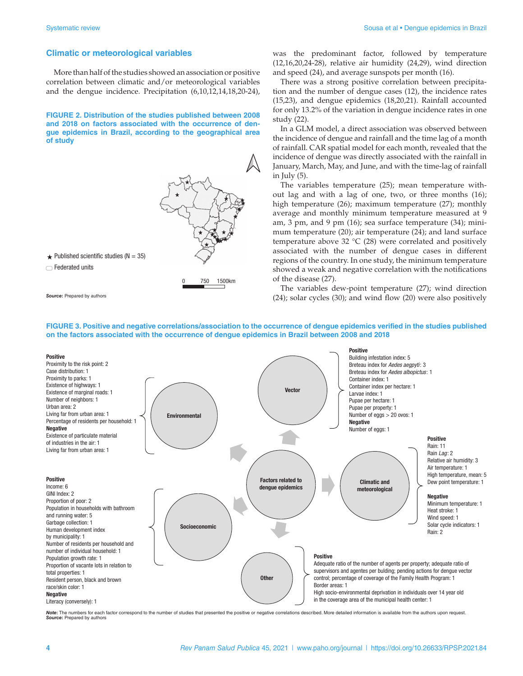## **Climatic or meteorological variables**

More than half of the studies showed an association or positive correlation between climatic and/or meteorological variables and the dengue incidence. Precipitation (6,10,12,14,18,20-24),

**FIGURE 2. Distribution of the studies published between 2008 and 2018 on factors associated with the occurrence of dengue epidemics in Brazil, according to the geographical area of study**



*Source***:** Prepared by authors

was the predominant factor, followed by temperature (12,16,20,24-28), relative air humidity (24,29), wind direction and speed (24), and average sunspots per month (16).

There was a strong positive correlation between precipitation and the number of dengue cases (12), the incidence rates (15,23), and dengue epidemics (18,20,21). Rainfall accounted for only 13.2% of the variation in dengue incidence rates in one study (22).

In a GLM model, a direct association was observed between the incidence of dengue and rainfall and the time lag of a month of rainfall. CAR spatial model for each month, revealed that the incidence of dengue was directly associated with the rainfall in January, March, May, and June, and with the time-lag of rainfall in July  $(5)$ .

The variables temperature (25); mean temperature without lag and with a lag of one, two, or three months (16); high temperature (26); maximum temperature (27); monthly average and monthly minimum temperature measured at 9 am, 3 pm, and 9 pm (16); sea surface temperature (34); minimum temperature (20); air temperature (24); and land surface temperature above 32 °C (28) were correlated and positively associated with the number of dengue cases in different regions of the country. In one study, the minimum temperature showed a weak and negative correlation with the notifications of the disease (27).

The variables dew-point temperature (27); wind direction (24); solar cycles (30); and wind flow (20) were also positively

#### **FIGURE 3. Positive and negative correlations/association to the occurrence of dengue epidemics verified in the studies published on the factors associated with the occurrence of dengue epidemics in Brazil between 2008 and 2018**



**lote:** The numbers for each factor correspond to the number of studies that presented the positive or negative correlations described. More detailed information is available from the authors upon request. *Source***:** Prepared by authors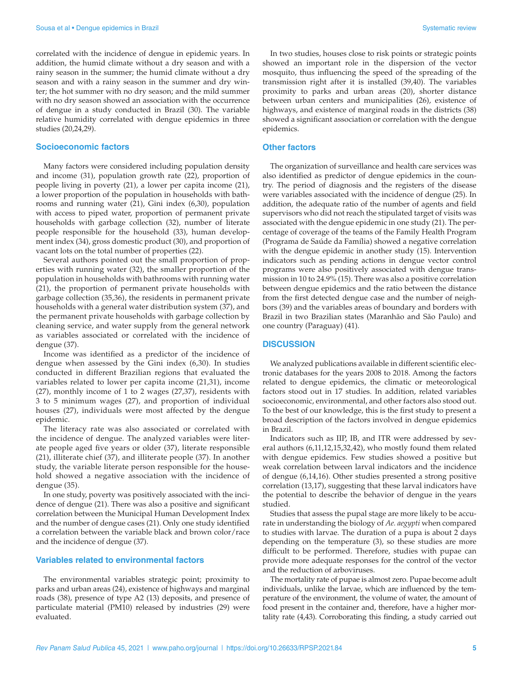correlated with the incidence of dengue in epidemic years. In addition, the humid climate without a dry season and with a rainy season in the summer; the humid climate without a dry season and with a rainy season in the summer and dry winter; the hot summer with no dry season; and the mild summer with no dry season showed an association with the occurrence of dengue in a study conducted in Brazil (30). The variable relative humidity correlated with dengue epidemics in three studies (20,24,29).

# **Socioeconomic factors**

Many factors were considered including population density and income (31), population growth rate (22), proportion of people living in poverty (21), a lower per capita income (21), a lower proportion of the population in households with bathrooms and running water (21), Gini index (6,30), population with access to piped water, proportion of permanent private households with garbage collection (32), number of literate people responsible for the household (33), human development index (34), gross domestic product (30), and proportion of vacant lots on the total number of properties (22).

Several authors pointed out the small proportion of properties with running water (32), the smaller proportion of the population in households with bathrooms with running water (21), the proportion of permanent private households with garbage collection (35,36), the residents in permanent private households with a general water distribution system (37), and the permanent private households with garbage collection by cleaning service, and water supply from the general network as variables associated or correlated with the incidence of dengue (37).

Income was identified as a predictor of the incidence of dengue when assessed by the Gini index (6,30). In studies conducted in different Brazilian regions that evaluated the variables related to lower per capita income (21,31), income (27), monthly income of 1 to 2 wages (27,37), residents with 3 to 5 minimum wages (27), and proportion of individual houses (27), individuals were most affected by the dengue epidemic.

The literacy rate was also associated or correlated with the incidence of dengue. The analyzed variables were literate people aged five years or older (37), literate responsible (21), illiterate chief (37), and illiterate people (37). In another study, the variable literate person responsible for the household showed a negative association with the incidence of dengue (35).

In one study, poverty was positively associated with the incidence of dengue (21). There was also a positive and significant correlation between the Municipal Human Development Index and the number of dengue cases (21). Only one study identified a correlation between the variable black and brown color/race and the incidence of dengue (37).

#### **Variables related to environmental factors**

The environmental variables strategic point; proximity to parks and urban areas (24), existence of highways and marginal roads (38), presence of type A2 (13) deposits, and presence of particulate material (PM10) released by industries (29) were evaluated.

In two studies, houses close to risk points or strategic points showed an important role in the dispersion of the vector mosquito, thus influencing the speed of the spreading of the transmission right after it is installed (39,40). The variables proximity to parks and urban areas (20), shorter distance between urban centers and municipalities (26), existence of highways, and existence of marginal roads in the districts (38) showed a significant association or correlation with the dengue epidemics.

# **Other factors**

The organization of surveillance and health care services was also identified as predictor of dengue epidemics in the country. The period of diagnosis and the registers of the disease were variables associated with the incidence of dengue (25). In addition, the adequate ratio of the number of agents and field supervisors who did not reach the stipulated target of visits was associated with the dengue epidemic in one study (21). The percentage of coverage of the teams of the Family Health Program (Programa de Saúde da Família) showed a negative correlation with the dengue epidemic in another study (15). Intervention indicators such as pending actions in dengue vector control programs were also positively associated with dengue transmission in 10 to 24.9% (15). There was also a positive correlation between dengue epidemics and the ratio between the distance from the first detected dengue case and the number of neighbors (39) and the variables areas of boundary and borders with Brazil in two Brazilian states (Maranhão and São Paulo) and one country (Paraguay) (41).

#### **DISCUSSION**

We analyzed publications available in different scientific electronic databases for the years 2008 to 2018. Among the factors related to dengue epidemics, the climatic or meteorological factors stood out in 17 studies. In addition, related variables socioeconomic, environmental, and other factors also stood out. To the best of our knowledge, this is the first study to present a broad description of the factors involved in dengue epidemics in Brazil.

Indicators such as IIP, IB, and ITR were addressed by several authors (6,11,12,15,32,42), who mostly found them related with dengue epidemics. Few studies showed a positive but weak correlation between larval indicators and the incidence of dengue (6,14,16). Other studies presented a strong positive correlation (13,17), suggesting that these larval indicators have the potential to describe the behavior of dengue in the years studied.

Studies that assess the pupal stage are more likely to be accurate in understanding the biology of *Ae. aegypti* when compared to studies with larvae. The duration of a pupa is about 2 days depending on the temperature (3), so these studies are more difficult to be performed. Therefore, studies with pupae can provide more adequate responses for the control of the vector and the reduction of arboviruses.

The mortality rate of pupae is almost zero. Pupae become adult individuals, unlike the larvae, which are influenced by the temperature of the environment, the volume of water, the amount of food present in the container and, therefore, have a higher mortality rate (4,43). Corroborating this finding, a study carried out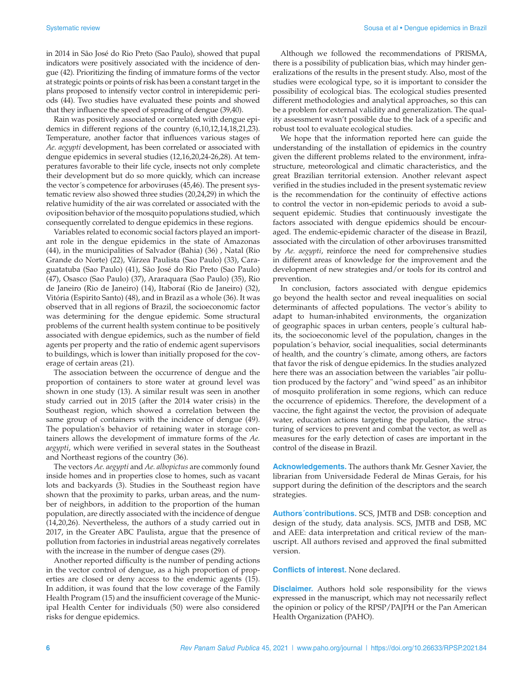in 2014 in São José do Rio Preto (Sao Paulo), showed that pupal indicators were positively associated with the incidence of dengue (42). Prioritizing the finding of immature forms of the vector at strategic points or points of risk has been a constant target in the plans proposed to intensify vector control in interepidemic periods (44). Two studies have evaluated these points and showed that they influence the speed of spreading of dengue (39,40).

Rain was positively associated or correlated with dengue epidemics in different regions of the country (6,10,12,14,18,21,23). Temperature, another factor that influences various stages of *Ae. aegypti* development, has been correlated or associated with dengue epidemics in several studies (12,16,20,24-26,28). At temperatures favorable to their life cycle, insects not only complete their development but do so more quickly, which can increase the vector´s competence for arboviruses (45,46). The present systematic review also showed three studies (20,24,29) in which the relative humidity of the air was correlated or associated with the oviposition behavior of the mosquito populations studied, which consequently correlated to dengue epidemics in these regions.

Variables related to economic social factors played an important role in the dengue epidemics in the state of Amazonas (44), in the municipalities of Salvador (Bahia) (36) , Natal (Rio Grande do Norte) (22), Várzea Paulista (Sao Paulo) (33), Caraguatatuba (Sao Paulo) (41), São José do Rio Preto (Sao Paulo) (47), Osasco (Sao Paulo) (37), Araraquara (Sao Paulo) (35), Rio de Janeiro (Rio de Janeiro) (14), Itaboraí (Rio de Janeiro) (32), Vitória (Espirito Santo) (48), and in Brazil as a whole (36). It was observed that in all regions of Brazil, the socioeconomic factor was determining for the dengue epidemic. Some structural problems of the current health system continue to be positively associated with dengue epidemics, such as the number of field agents per property and the ratio of endemic agent supervisors to buildings, which is lower than initially proposed for the coverage of certain areas (21).

The association between the occurrence of dengue and the proportion of containers to store water at ground level was shown in one study (13). A similar result was seen in another study carried out in 2015 (after the 2014 water crisis) in the Southeast region, which showed a correlation between the same group of containers with the incidence of dengue (49). The population's behavior of retaining water in storage containers allows the development of immature forms of the *Ae. aegypti*, which were verified in several states in the Southeast and Northeast regions of the country (36).

The vectors *Ae. aegypti* and *Ae. albopictus* are commonly found inside homes and in properties close to homes, such as vacant lots and backyards (3). Studies in the Southeast region have shown that the proximity to parks, urban areas, and the number of neighbors, in addition to the proportion of the human population, are directly associated with the incidence of dengue (14,20,26). Nevertheless, the authors of a study carried out in 2017, in the Greater ABC Paulista, argue that the presence of pollution from factories in industrial areas negatively correlates with the increase in the number of dengue cases (29).

Another reported difficulty is the number of pending actions in the vector control of dengue, as a high proportion of properties are closed or deny access to the endemic agents (15). In addition, it was found that the low coverage of the Family Health Program (15) and the insufficient coverage of the Municipal Health Center for individuals (50) were also considered risks for dengue epidemics.

Although we followed the recommendations of PRISMA, there is a possibility of publication bias, which may hinder generalizations of the results in the present study. Also, most of the studies were ecological type, so it is important to consider the possibility of ecological bias. The ecological studies presented different methodologies and analytical approaches, so this can be a problem for external validity and generalization. The quality assessment wasn't possible due to the lack of a specific and robust tool to evaluate ecological studies.

We hope that the information reported here can guide the understanding of the installation of epidemics in the country given the different problems related to the environment, infrastructure, meteorological and climatic characteristics, and the great Brazilian territorial extension. Another relevant aspect verified in the studies included in the present systematic review is the recommendation for the continuity of effective actions to control the vector in non-epidemic periods to avoid a subsequent epidemic. Studies that continuously investigate the factors associated with dengue epidemics should be encouraged. The endemic-epidemic character of the disease in Brazil, associated with the circulation of other arboviruses transmitted by *Ae. aegypti*, reinforce the need for comprehensive studies in different areas of knowledge for the improvement and the development of new strategies and/or tools for its control and prevention.

In conclusion, factors associated with dengue epidemics go beyond the health sector and reveal inequalities on social determinants of affected populations. The vector´s ability to adapt to human-inhabited environments, the organization of geographic spaces in urban centers, people´s cultural habits, the socioeconomic level of the population, changes in the population´s behavior, social inequalities, social determinants of health, and the country´s climate, among others, are factors that favor the risk of dengue epidemics. In the studies analyzed here there was an association between the variables "air pollution produced by the factory" and "wind speed" as an inhibitor of mosquito proliferation in some regions, which can reduce the occurrence of epidemics. Therefore, the development of a vaccine, the fight against the vector, the provision of adequate water, education actions targeting the population, the structuring of services to prevent and combat the vector, as well as measures for the early detection of cases are important in the control of the disease in Brazil.

**Acknowledgements.** The authors thank Mr. Gesner Xavier, the librarian from Universidade Federal de Minas Gerais, for his support during the definition of the descriptors and the search strategies.

**Authors´contributions.** SCS, JMTB and DSB: conception and design of the study, data analysis. SCS, JMTB and DSB, MC and AEE: data interpretation and critical review of the manuscript. All authors revised and approved the final submitted version.

**Conflicts of interest.** None declared.

**Disclaimer.** Authors hold sole responsibility for the views expressed in the manuscript, which may not necessarily reflect the opinion or policy of the RPSP/PAJPH or the Pan American Health Organization (PAHO).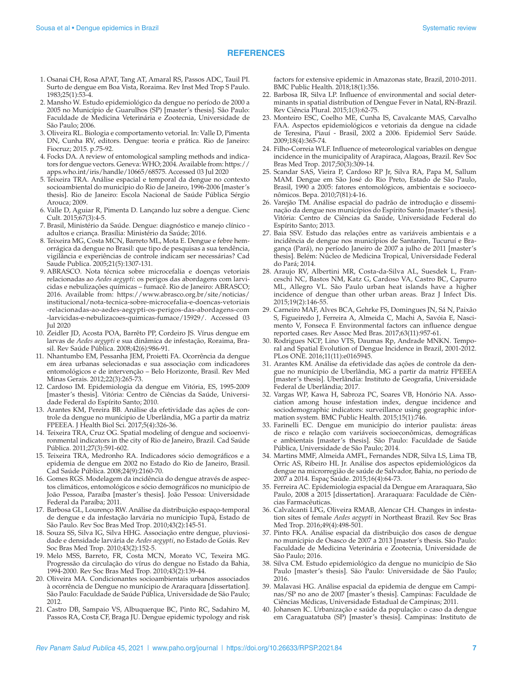# **REFERENCES**

- 1. Osanai CH, Rosa APAT, Tang AT, Amaral RS, Passos ADC, Tauil PI. Surto de dengue em Boa Vista, Roraima. Rev Inst Med Trop S Paulo. 1983;25(1):53-4.
- 2. Mansho W. Estudo epidemiológico da dengue no período de 2000 a 2005 no Município de Guarulhos (SP) [master's thesis]. São Paulo: Faculdade de Medicina Veterinária e Zootecnia, Universidade de São Paulo; 2006.
- 3. Oliveira RL. Biologia e comportamento vetorial. In: Valle D, Pimenta DN, Cunha RV, editors. Dengue: teoria e prática. Rio de Janeiro: Fiocruz; 2015. p.75-92.
- 4. Focks DA. A review of entomological sampling methods and indicators for dengue vectors. Geneva: WHO; 2004. Available from: [https://](https://apps.who.int/iris/handle/10665/68575) [apps.who.int/iris/handle/10665/68575](https://apps.who.int/iris/handle/10665/68575). Accessed 03 Jul 2020
- 5. Teixeira TRA. Análise espacial e temporal da dengue no contexto socioambiental do município do Rio de Janeiro, 1996-2006 [master's thesis]. Rio de Janeiro: Escola Nacional de Saúde Pública Sérgio Arouca; 2009.
- 6. Valle D, Aguiar R, Pimenta D. Lançando luz sobre a dengue. Cienc Cult. 2015;67(3):4-5.
- 7. Brasil, Ministério da Saúde. Dengue: diagnóstico e manejo clínico adultos e criança. Brasília: Ministério da Saúde; 2016.
- 8. Teixeira MG, Costa MCN, Barreto ML, Mota E. Dengue e febre hemorrágica da dengue no Brasil: que tipo de pesquisas a sua tendência, vigilância e experiências de controle indicam ser necessárias? Cad Saude Publica. 2005;21(5):1307-131.
- 9. ABRASCO. Nota técnica sobre microcefalia e doenças vetoriais relacionadas ao *Aedes aegypti*: os perigos das abordagens com larvicidas e nebulizações químicas – fumacê. Rio de Janeiro: ABRASCO; 2016. Available from: [https://www.abrasco.org.br/site/noticias/](https://www.abrasco.org.br/site/noticias/institucional/nota-tecnica-sobre-microcefalia-e-doencas-vetoriais-relacionadas-ao-aedes-aegypti-os-perigos-das-abordagens-com-larvicidas-e-nebulizacoes-quimicas-fumace/15929/) [institucional/nota-tecnica-sobre-microcefalia-e-doencas-vetoriais](https://www.abrasco.org.br/site/noticias/institucional/nota-tecnica-sobre-microcefalia-e-doencas-vetoriais-relacionadas-ao-aedes-aegypti-os-perigos-das-abordagens-com-larvicidas-e-nebulizacoes-quimicas-fumace/15929/) [-relacionadas-ao-aedes-aegypti-os-perigos-das-abordagens-com](https://www.abrasco.org.br/site/noticias/institucional/nota-tecnica-sobre-microcefalia-e-doencas-vetoriais-relacionadas-ao-aedes-aegypti-os-perigos-das-abordagens-com-larvicidas-e-nebulizacoes-quimicas-fumace/15929/) [-larvicidas-e-nebulizacoes-quimicas-fumace/15929/.](https://www.abrasco.org.br/site/noticias/institucional/nota-tecnica-sobre-microcefalia-e-doencas-vetoriais-relacionadas-ao-aedes-aegypti-os-perigos-das-abordagens-com-larvicidas-e-nebulizacoes-quimicas-fumace/15929/) Accessed 03 Jul 2020
- 10. Zeidler JD, Acosta POA, Barrêto PP, Cordeiro JS. Vírus dengue em larvas de *Aedes aegypti* e sua dinâmica de infestação, Roraima, Brasil. Rev Saúde Pública. 2008;42(6):986-91.
- 11. Nhantumbo EM, Pessanha JEM, Proietti FA. Ocorrência da dengue em área urbanas selecionadas e sua associação com indicadores entomológicos e de intervenção – Belo Horizonte, Brasil. Rev Med Minas Gerais. 2012;22(3):265-73.
- 12. Cardoso IM. Epidemiologia da dengue em Vitória, ES, 1995-2009 [master's thesis]. Vitória: Centro de Ciências da Saúde, Universidade Federal do Espírito Santo; 2010.
- 13. Arantes KM, Pereira BB. Análise da efetividade das ações de controle da dengue no munícipio de Uberlândia, MG a partir da matriz FPEEEA. J Health Biol Sci. 2017;5(4):326-36.
- 14. Teixeira TRA, Cruz OG. Spatial modeling of dengue and socioenvironmental indicators in the city of Rio de Janeiro, Brazil. Cad Saúde Pública. 2011;27(3):591-602.
- 15. Teixeira TRA, Medronho RA. Indicadores sócio demográficos e a epidemia de dengue em 2002 no Estado do Rio de Janeiro, Brasil. Cad Saúde Pública. 2008;24(9):2160-70.
- 16. Gomes RGS. Modelagem da incidência do dengue através de aspectos climáticos, entomológicos e sócio demográficos no município de João Pessoa, Paraíba [master's thesis]. João Pessoa: Universidade Federal da Paraíba; 2011.
- 17. Barbosa GL, Lourenço RW. Análise da distribuição espaço-temporal de dengue e da infestação larvária no munícipio Tupã, Estado de São Paulo. Rev Soc Bras Med Trop. 2010;43(2):145-51.
- 18. Souza SS, Silva IG, Silva HHG. Associação entre dengue, pluviosidade e densidade larvária de *Aedes aegypti*, no Estado de Goiás. Rev Soc Bras Med Trop. 2010;43(2):152-5.
- 19. Melo MSS, Barreto, FR, Costa MCN, Morato VC, Texeira MG. Progressão da circulação do vírus do dengue no Estado da Bahia, 1994-2000. Rev Soc Bras Med Trop. 2010;43(2):139-44.
- 20. Oliveira MA. Condicionantes socioambientais urbanos associados à ocorrência de Dengue no munícipio de Araraquara [dissertation]. São Paulo: Faculdade de Saúde Pública, Universidade de São Paulo; 2012.
- 21. Castro DB, Sampaio VS, Albuquerque BC, Pinto RC, Sadahiro M, Passos RA, Costa CF, Braga JU. Dengue epidemic typology and risk

factors for extensive epidemic in Amazonas state, Brazil, 2010-2011. BMC Public Health. 2018;18(1):356.

- 22. Barbosa IR, Silva LP. Influence of environmental and social determinants in spatial distribution of Dengue Fever in Natal, RN-Brazil. Rev Ciência Plural. 2015;1(3):62-75.
- 23. Monteiro ESC, Coelho ME, Cunha IS, Cavalcante MAS, Carvalho FAA. Aspectos epidemiológicos e vetoriais da dengue na cidade de Teresina, Piauí - Brasil, 2002 a 2006. Epidemiol Serv Saúde. 2009;18(4):365-74.
- 24. Filho-Correia WLF. Influence of meteorological variables on dengue incidence in the municipality of Arapiraca, Alagoas, Brazil. Rev Soc Bras Med Trop. 2017;50(3):309-14.
- 25. Scandar SAS, Vieira P, Cardoso RP Jr, Silva RA, Papa M, Sallum MAM. Dengue em São José do Rio Preto, Estado de São Paulo, Brasil, 1990 a 2005: fatores entomológicos, ambientais e socioeconômicos. Bepa. 2010;7(81):4-16.
- 26. Varejão TM. Análise espacial do padrão de introdução e disseminação da dengue nos municípios do Espírito Santo [master's thesis]. Vitória: Centro de Ciências da Saúde, Universidade Federal do Espírito Santo; 2013.
- 27. Baia SSV. Estudo das relações entre as variáveis ambientais e a incidência de dengue nos municípios de Santarém, Tucuruí e Bragança (Pará), no período Janeiro de 2007 a julho de 2011 [master's thesis]. Belém: Núcleo de Medicina Tropical, Universidade Federal do Pará; 2014.
- 28. Araujo RV, Albertini MR, Costa-da-Silva AL, Suesdek L, Franceschi NC, Bastos NM, Katz G, Cardoso VA, Castro BC, Capurro ML, Allegro VL. São Paulo urban heat islands have a higher incidence of dengue than other urban areas. Braz J Infect Dis. 2015;19(2):146-55.
- 29. Carneiro MAF, Alves BCA, Gehrke FS, Domingues JN, Sá N, Paixão S, Figueiredo J, Ferreira A, Almeida C, Machi A, Savóia E, Nascimento V, Fonseca F. Environmental factors can influence dengue reported cases. Rev Assoc Med Bras. 2017;63(11):957-61.
- 30. Rodrigues NCP, Lino VTS, Daumas Rp, Andrade MNKN. Temporal and Spatial Evolution of Dengue Incidence in Brazil, 2001-2012. PLos ONE. 2016;11(11):e0165945.
- 31. Arantes KM. Análise da efetividade das ações de controle da dengue no munícipio de Uberlândia, MG a partir da matriz FPEEEA [master's thesis]. Uberlândia: Instituto de Geografia, Universidade Federal de Uberlândia; 2017.
- 32. Vargas WP, Kawa H, Sabroza PC, Soares VB, Honório NA. Association among house infestation index, dengue incidence and sociodemographic indicators: surveillance using geographic information system. BMC Public Health. 2015;15(1):746.
- 33. Farinelli EC. Dengue em município do interior paulista: áreas de risco e relação com variáveis socioeconômicas, demográficas e ambientais [master's thesis]. São Paulo: Faculdade de Saúde Pública, Universidade de São Paulo; 2014.
- 34. Martins MMF, Almeida AMFL, Fernandes NDR, Silva LS, Lima TB, Orric AS, Ribeiro HL Jr. Análise dos aspectos epidemiológicos da dengue na microrregião de saúde de Salvador, Bahia, no período de 2007 a 2014. Espaç Saúde. 2015;16(4):64-73.
- 35. Ferreira AC. Epidemiologia espacial da Dengue em Araraquara, São Paulo, 2008 a 2015 [dissertation]. Araraquara: Faculdade de Ciências Farmacêuticas.
- 36. Calvalcanti LPG, Oliveira RMAB, Alencar CH. Changes in infestation sites of female *Aedes aegypti* in Northeast Brazil. Rev Soc Bras Med Trop. 2016;49(4):498-501.
- 37. Pinto FKA. Análise espacial da distribuição dos casos de dengue no munícipio de Osasco de 2007 a 2013 [master's thesis. São Paulo: Faculdade de Medicina Veterinária e Zootecnia, Universidade de São Paulo; 2016.
- 38. Silva CM. Estudo epidemiológico da dengue no município de São Paulo [master's thesis]. São Paulo: Universidade de São Paulo; 2016.
- 39. Malavasi HG. Análise espacial da epidemia de dengue em Campinas/SP no ano de 2007 [master's thesis]. Campinas: Faculdade de Ciências Médicas, Universidade Estadual de Campinas; 2011.
- 40. Johansen IC. Urbanização e saúde da população: o caso da dengue em Caraguatatuba (SP) [master's thesis]. Campinas: Instituto de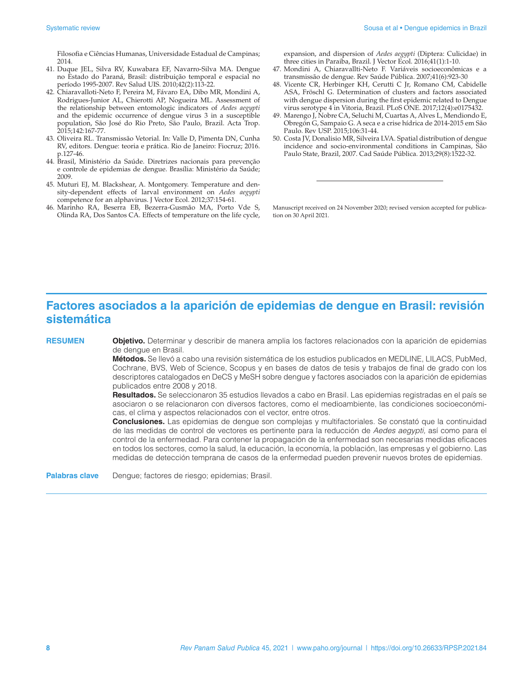Filosofia e Ciências Humanas, Universidade Estadual de Campinas; 2014.

- 41. Duque JEL, Silva RV, Kuwabara EF, Navarro-Silva MA. Dengue no Estado do Paraná, Brasil: distribuição temporal e espacial no período 1995-2007. Rev Salud UIS. 2010;42(2):113-22.
- 42. Chiaravalloti-Neto F, Pereira M, Fávaro EA, Dibo MR, Mondini A, Rodrigues-Junior AL, Chierotti AP, Nogueira ML. Assessment of the relationship between entomologic indicators of *Aedes aegypti* and the epidemic occurrence of dengue virus 3 in a susceptible population, São José do Rio Preto, São Paulo, Brazil. Acta Trop. 2015;142:167-77.
- 43. Oliveira RL. Transmissão Vetorial. In: Valle D, Pimenta DN, Cunha RV, editors. Dengue: teoria e prática. Rio de Janeiro: Fiocruz; 2016. p.127-46.
- 44. Brasil, Ministério da Saúde. Diretrizes nacionais para prevenção e controle de epidemias de dengue. Brasília: Ministério da Saúde; 2009.
- 45. Muturi EJ, M. Blackshear, A. Montgomery. Temperature and density-dependent effects of larval environment on *Aedes aegypti* competence for an alphavirus. J Vector Ecol. 2012;37:154-61.
- 46. Marinho RA, Beserra EB, Bezerra-Gusmão MA, Porto Vde S, Olinda RA, Dos Santos CA. Effects of temperature on the life cycle,

expansion, and dispersion of *Aedes aegypti* (Diptera: Culicidae) in three cities in Paraiba, Brazil. J Vector Ecol. 2016;41(1):1-10.

- 47. Mondini A, Chiaravallti-Neto F. Variáveis socioeconômicas e a transmissão de dengue. Rev Saúde Pública. 2007;41(6):923-30
- 48. Vicente CR, Herbinger KH, Cerutti C Jr, Romano CM, Cabidelle ASA, Fröschl G. Determination of clusters and factors associated with dengue dispersion during the first epidemic related to Dengue virus serotype 4 in Vitoria, Brazil. PLoS ONE. 2017;12(4):e0175432.
- 49. Marengo J, Nobre CA, Seluchi M, Cuartas A, Alves L, Mendiondo E, Obregón G, Sampaio G. A seca e a crise hídrica de 2014-2015 em São Paulo. Rev USP. 2015;106:31-44.
- 50. Costa JV, Donalisio MR, Silveira LVA. Spatial distribution of dengue incidence and socio-environmental conditions in Campinas, São Paulo State, Brazil, 2007. Cad Saúde Pública. 2013;29(8):1522-32.

Manuscript received on 24 November 2020; revised version accepted for publication on 30 April 2021.

# **Factores asociados a la aparición de epidemias de dengue en Brasil: revisión sistemática**

**RESUMEN Objetivo.** Determinar y describir de manera amplia los factores relacionados con la aparición de epidemias de dengue en Brasil.

> **Métodos.** Se llevó a cabo una revisión sistemática de los estudios publicados en MEDLINE, LILACS, PubMed, Cochrane, BVS, Web of Science, Scopus y en bases de datos de tesis y trabajos de final de grado con los descriptores catalogados en DeCS y MeSH sobre dengue y factores asociados con la aparición de epidemias publicados entre 2008 y 2018.

> **Resultados.** Se seleccionaron 35 estudios llevados a cabo en Brasil. Las epidemias registradas en el país se asociaron o se relacionaron con diversos factores, como el medioambiente, las condiciones socioeconómicas, el clima y aspectos relacionados con el vector, entre otros.

> **Conclusiones.** Las epidemias de dengue son complejas y multifactoriales. Se constató que la continuidad de las medidas de control de vectores es pertinente para la reducción de *Aedes aegypti,* así como para el control de la enfermedad. Para contener la propagación de la enfermedad son necesarias medidas eficaces en todos los sectores, como la salud, la educación, la economía, la población, las empresas y el gobierno. Las medidas de detección temprana de casos de la enfermedad pueden prevenir nuevos brotes de epidemias.

Palabras clave Dengue; factores de riesgo; epidemias; Brasil.